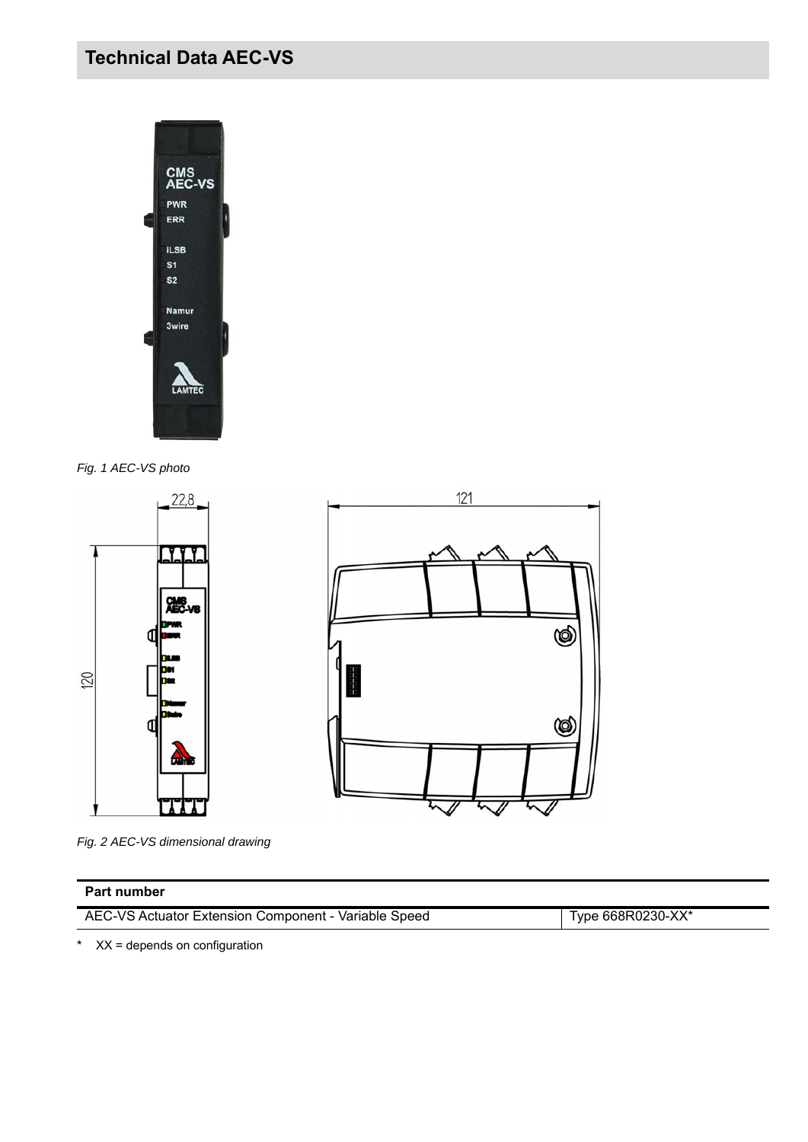# **Technical Data AEC-VS**



*Fig. 1 AEC-VS photo*





*Fig. 2 AEC-VS dimensional drawing*

#### **Part number**

AEC-VS Actuator Extension Component - Variable Speed Type 668R0230-XX\*

\* XX = depends on configuration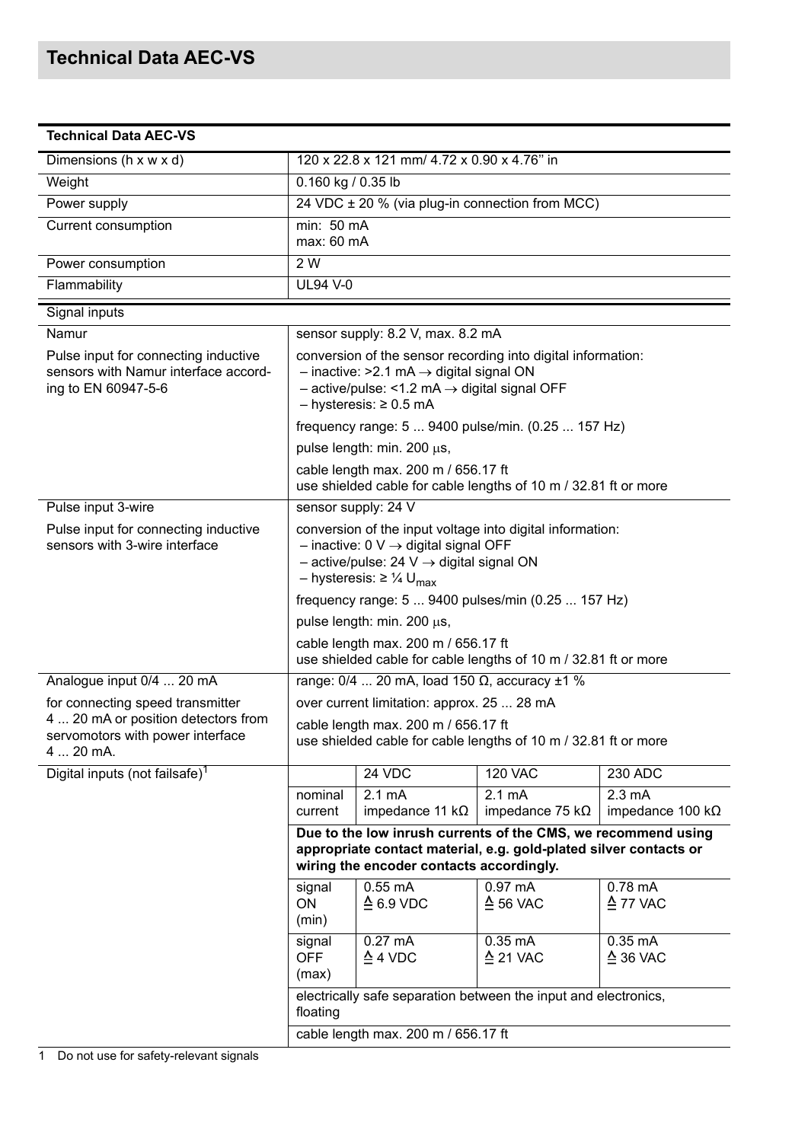| <b>Technical Data AEC-VS</b>                                                                        |                                                                                                                                                                                                                      |                                             |                                                    |                                              |  |
|-----------------------------------------------------------------------------------------------------|----------------------------------------------------------------------------------------------------------------------------------------------------------------------------------------------------------------------|---------------------------------------------|----------------------------------------------------|----------------------------------------------|--|
| Dimensions (h x w x d)                                                                              |                                                                                                                                                                                                                      | 120 x 22.8 x 121 mm/ 4.72 x 0.90 x 4.76" in |                                                    |                                              |  |
| Weight                                                                                              |                                                                                                                                                                                                                      | 0.160 kg / 0.35 lb                          |                                                    |                                              |  |
| Power supply                                                                                        |                                                                                                                                                                                                                      |                                             | 24 VDC ± 20 % (via plug-in connection from MCC)    |                                              |  |
| <b>Current consumption</b>                                                                          | min: 50 mA<br>max: 60 mA                                                                                                                                                                                             |                                             |                                                    |                                              |  |
| Power consumption                                                                                   | 2 W                                                                                                                                                                                                                  |                                             |                                                    |                                              |  |
| Flammability                                                                                        | <b>UL94 V-0</b>                                                                                                                                                                                                      |                                             |                                                    |                                              |  |
| Signal inputs                                                                                       |                                                                                                                                                                                                                      |                                             |                                                    |                                              |  |
| Namur                                                                                               |                                                                                                                                                                                                                      | sensor supply: 8.2 V, max. 8.2 mA           |                                                    |                                              |  |
| Pulse input for connecting inductive<br>sensors with Namur interface accord-<br>ing to EN 60947-5-6 | conversion of the sensor recording into digital information:<br>$-$ inactive: >2.1 mA $\rightarrow$ digital signal ON<br>$-$ active/pulse: <1.2 mA $\rightarrow$ digital signal OFF<br>$-$ hysteresis: $\geq 0.5$ mA |                                             |                                                    |                                              |  |
|                                                                                                     | frequency range: 5  9400 pulse/min. (0.25  157 Hz)                                                                                                                                                                   |                                             |                                                    |                                              |  |
|                                                                                                     | pulse length: min. 200 µs,                                                                                                                                                                                           |                                             |                                                    |                                              |  |
|                                                                                                     | cable length max. 200 m / 656.17 ft<br>use shielded cable for cable lengths of 10 m / 32.81 ft or more                                                                                                               |                                             |                                                    |                                              |  |
| Pulse input 3-wire                                                                                  | sensor supply: 24 V                                                                                                                                                                                                  |                                             |                                                    |                                              |  |
| Pulse input for connecting inductive<br>sensors with 3-wire interface                               | conversion of the input voltage into digital information:<br>$-$ inactive: 0 V $\rightarrow$ digital signal OFF<br>$-$ active/pulse: 24 V $\rightarrow$ digital signal ON<br>– hysteresis: ≥ ¼ U <sub>max</sub>      |                                             |                                                    |                                              |  |
|                                                                                                     |                                                                                                                                                                                                                      |                                             | frequency range: 5  9400 pulses/min (0.25  157 Hz) |                                              |  |
|                                                                                                     |                                                                                                                                                                                                                      | pulse length: min. 200 µs,                  |                                                    |                                              |  |
|                                                                                                     | cable length max. 200 m / 656.17 ft<br>use shielded cable for cable lengths of 10 m / 32.81 ft or more                                                                                                               |                                             |                                                    |                                              |  |
| Analogue input 0/4  20 mA                                                                           | range: $0/4$ 20 mA, load 150 $\Omega$ , accuracy $\pm 1$ %                                                                                                                                                           |                                             |                                                    |                                              |  |
| for connecting speed transmitter                                                                    | over current limitation: approx. 25  28 mA                                                                                                                                                                           |                                             |                                                    |                                              |  |
| 4  20 mA or position detectors from<br>servomotors with power interface<br>4  20 mA.                | cable length max. 200 m / 656.17 ft<br>use shielded cable for cable lengths of 10 m / 32.81 ft or more                                                                                                               |                                             |                                                    |                                              |  |
| Digital inputs (not failsafe) <sup>1</sup>                                                          |                                                                                                                                                                                                                      | 24 VDC                                      | <b>120 VAC</b>                                     | 230 ADC                                      |  |
|                                                                                                     | nominal<br>current                                                                                                                                                                                                   | $2.1 \text{ mA}$<br>impedance 11 $k\Omega$  | $2.1 \text{ mA}$<br>impedance 75 k $\Omega$        | $2.3 \text{ mA}$<br>impedance 100 k $\Omega$ |  |
|                                                                                                     | Due to the low inrush currents of the CMS, we recommend using<br>appropriate contact material, e.g. gold-plated silver contacts or<br>wiring the encoder contacts accordingly.                                       |                                             |                                                    |                                              |  |
|                                                                                                     | signal<br>ON<br>(min)                                                                                                                                                                                                | $0.55$ mA<br>$\triangle$ 6.9 VDC            | $0.97 \text{ mA}$<br>$\triangle$ 56 VAC            | $0.78$ mA<br>$\triangle$ 77 VAC              |  |
|                                                                                                     | signal<br>OFF<br>(max)                                                                                                                                                                                               | $0.27 \text{ mA}$<br>$\triangleq$ 4 VDC     | $0.35 \text{ mA}$<br>$\triangleq$ 21 VAC           | $0.35 \text{ mA}$<br>$\triangleq$ 36 VAC     |  |
|                                                                                                     | electrically safe separation between the input and electronics,<br>floating                                                                                                                                          |                                             |                                                    |                                              |  |
|                                                                                                     | cable length max. 200 m / 656.17 ft                                                                                                                                                                                  |                                             |                                                    |                                              |  |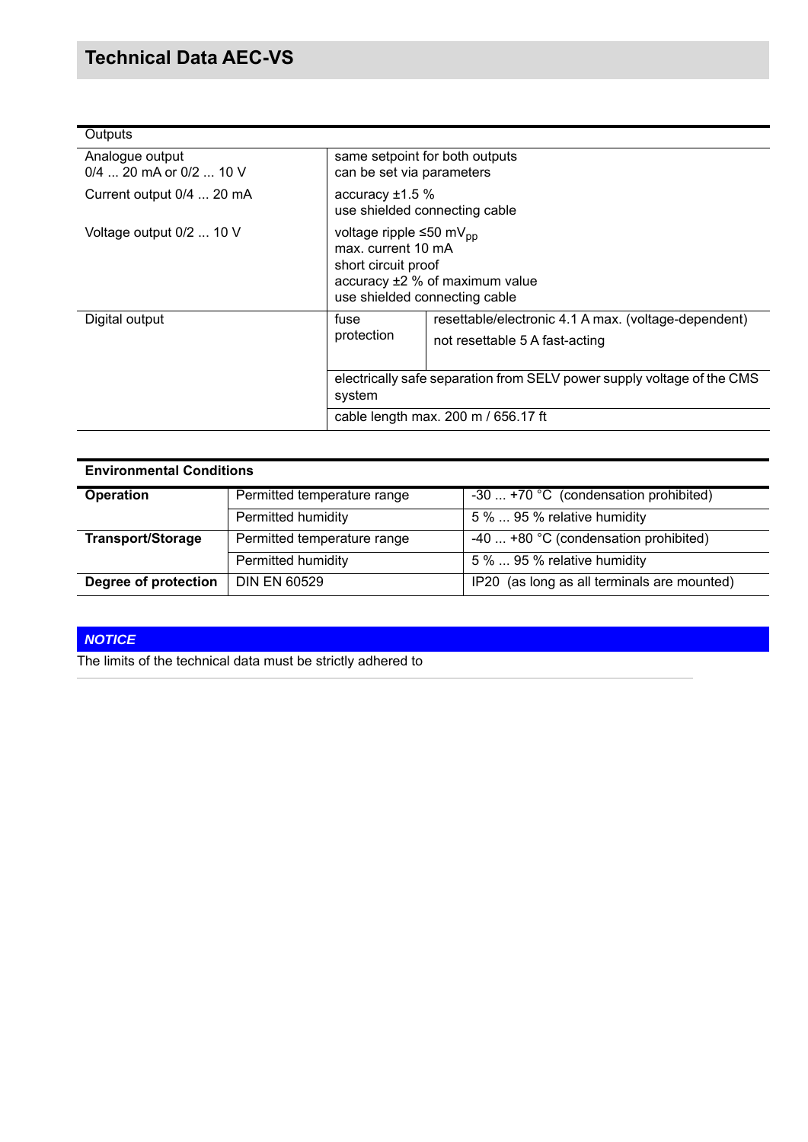| Outputs                                      |                                                                                                                                                     |                                                                                                                                                                  |  |  |
|----------------------------------------------|-----------------------------------------------------------------------------------------------------------------------------------------------------|------------------------------------------------------------------------------------------------------------------------------------------------------------------|--|--|
| Analogue output<br>$0/4$ 20 mA or $0/2$ 10 V | same setpoint for both outputs<br>can be set via parameters                                                                                         |                                                                                                                                                                  |  |  |
| Current output 0/4  20 mA                    | accuracy $±1.5%$<br>use shielded connecting cable                                                                                                   |                                                                                                                                                                  |  |  |
| Voltage output 0/2  10 V                     | voltage ripple ≤50 mV <sub>pp</sub><br>max. current 10 mA<br>short circuit proof<br>accuracy ±2 % of maximum value<br>use shielded connecting cable |                                                                                                                                                                  |  |  |
| Digital output                               | fuse<br>protection<br>system                                                                                                                        | resettable/electronic 4.1 A max. (voltage-dependent)<br>not resettable 5 A fast-acting<br>electrically safe separation from SELV power supply voltage of the CMS |  |  |
|                                              | cable length max. 200 m / 656.17 ft                                                                                                                 |                                                                                                                                                                  |  |  |

| <b>Environmental Conditions</b> |                             |                                                |  |  |
|---------------------------------|-----------------------------|------------------------------------------------|--|--|
| <b>Operation</b>                | Permitted temperature range | -30  +70 °C (condensation prohibited)          |  |  |
|                                 | Permitted humidity          | 5 %  95 % relative humidity                    |  |  |
| <b>Transport/Storage</b>        | Permitted temperature range | -40 $\dots$ +80 °C (condensation prohibited)   |  |  |
|                                 | Permitted humidity          | 5 %  95 % relative humidity                    |  |  |
| Degree of protection            | <b>DIN EN 60529</b>         | (as long as all terminals are mounted)<br>IP20 |  |  |

### *NOTICE*

The limits of the technical data must be strictly adhered to